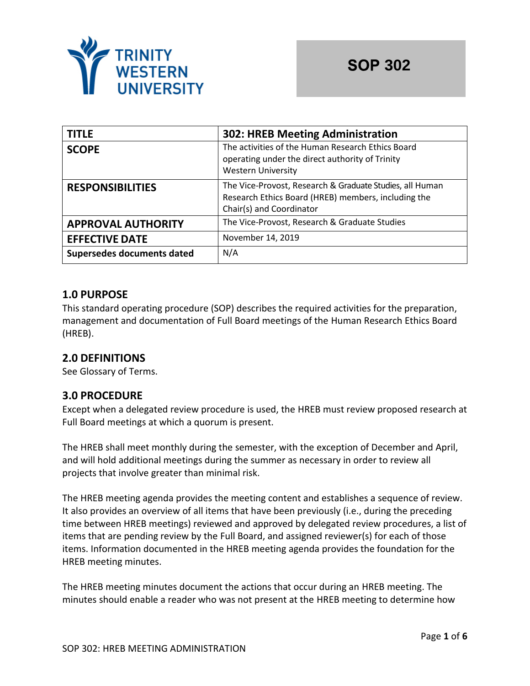

| <b>TITLE</b>               | <b>302: HREB Meeting Administration</b>                                                                                                     |  |
|----------------------------|---------------------------------------------------------------------------------------------------------------------------------------------|--|
| <b>SCOPE</b>               | The activities of the Human Research Ethics Board<br>operating under the direct authority of Trinity<br><b>Western University</b>           |  |
| <b>RESPONSIBILITIES</b>    | The Vice-Provost, Research & Graduate Studies, all Human<br>Research Ethics Board (HREB) members, including the<br>Chair(s) and Coordinator |  |
| <b>APPROVAL AUTHORITY</b>  | The Vice-Provost, Research & Graduate Studies                                                                                               |  |
| <b>EFFECTIVE DATE</b>      | November 14, 2019                                                                                                                           |  |
| Supersedes documents dated | N/A                                                                                                                                         |  |

## **1.0 PURPOSE**

This standard operating procedure (SOP) describes the required activities for the preparation, management and documentation of Full Board meetings of the Human Research Ethics Board (HREB).

## **2.0 DEFINITIONS**

See Glossary of Terms.

## **3.0 PROCEDURE**

Except when a delegated review procedure is used, the HREB must review proposed research at Full Board meetings at which a quorum is present.

The HREB shall meet monthly during the semester, with the exception of December and April, and will hold additional meetings during the summer as necessary in order to review all projects that involve greater than minimal risk.

The HREB meeting agenda provides the meeting content and establishes a sequence of review. It also provides an overview of all items that have been previously (i.e., during the preceding time between HREB meetings) reviewed and approved by delegated review procedures, a list of items that are pending review by the Full Board, and assigned reviewer(s) for each of those items. Information documented in the HREB meeting agenda provides the foundation for the HREB meeting minutes.

The HREB meeting minutes document the actions that occur during an HREB meeting. The minutes should enable a reader who was not present at the HREB meeting to determine how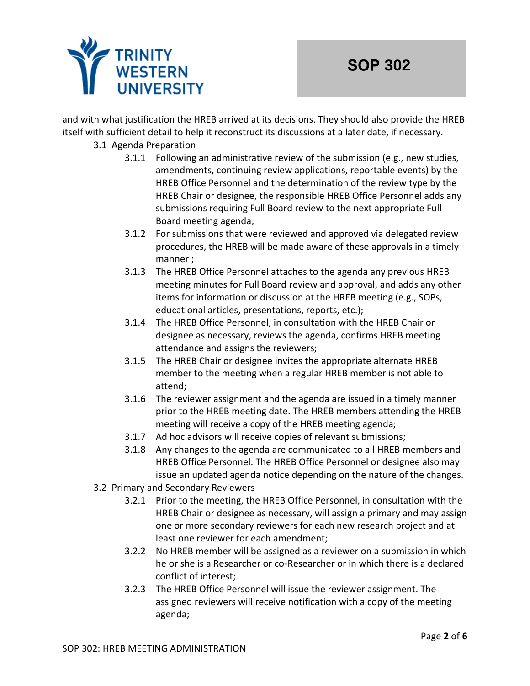

and with what justification the HREB arrived at its decisions. They should also provide the HREB itself with sufficient detail to help it reconstruct its discussions at a later date, if necessary.

#### 3.1 Agenda Preparation

- 3.1.1 Following an administrative review of the submission (e.g., new studies, amendments, continuing review applications, reportable events) by the HREB Office Personnel and the determination of the review type by the HREB Chair or designee, the responsible HREB Office Personnel adds any submissions requiring Full Board review to the next appropriate Full Board meeting agenda;
- 3.1.2 For submissions that were reviewed and approved via delegated review procedures, the HREB will be made aware of these approvals in a timely manner ;
- 3.1.3 The HREB Office Personnel attaches to the agenda any previous HREB meeting minutes for Full Board review and approval, and adds any other items for information or discussion at the HREB meeting (e.g., SOPs, educational articles, presentations, reports, etc.);
- 3.1.4 The HREB Office Personnel, in consultation with the HREB Chair or designee as necessary, reviews the agenda, confirms HREB meeting attendance and assigns the reviewers;
- 3.1.5 The HREB Chair or designee invites the appropriate alternate HREB member to the meeting when a regular HREB member is not able to attend;
- 3.1.6 The reviewer assignment and the agenda are issued in a timely manner prior to the HREB meeting date. The HREB members attending the HREB meeting will receive a copy of the HREB meeting agenda;
- 3.1.7 Ad hoc advisors will receive copies of relevant submissions;
- 3.1.8 Any changes to the agenda are communicated to all HREB members and HREB Office Personnel. The HREB Office Personnel or designee also may issue an updated agenda notice depending on the nature of the changes.
- 3.2 Primary and Secondary Reviewers
	- 3.2.1 Prior to the meeting, the HREB Office Personnel, in consultation with the HREB Chair or designee as necessary, will assign a primary and may assign one or more secondary reviewers for each new research project and at least one reviewer for each amendment;
	- 3.2.2 No HREB member will be assigned as a reviewer on a submission in which he or she is a Researcher or co-Researcher or in which there is a declared conflict of interest;
	- 3.2.3 The HREB Office Personnel will issue the reviewer assignment. The assigned reviewers will receive notification with a copy of the meeting agenda;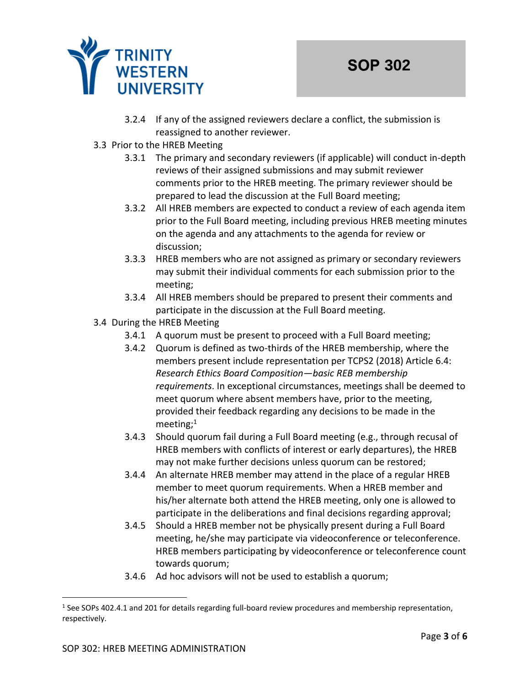

- 3.2.4 If any of the assigned reviewers declare a conflict, the submission is reassigned to another reviewer.
- 3.3 Prior to the HREB Meeting
	- 3.3.1 The primary and secondary reviewers (if applicable) will conduct in-depth reviews of their assigned submissions and may submit reviewer comments prior to the HREB meeting. The primary reviewer should be prepared to lead the discussion at the Full Board meeting;
	- 3.3.2 All HREB members are expected to conduct a review of each agenda item prior to the Full Board meeting, including previous HREB meeting minutes on the agenda and any attachments to the agenda for review or discussion;
	- 3.3.3 HREB members who are not assigned as primary or secondary reviewers may submit their individual comments for each submission prior to the meeting;
	- 3.3.4 All HREB members should be prepared to present their comments and participate in the discussion at the Full Board meeting.
- 3.4 During the HREB Meeting
	- 3.4.1 A quorum must be present to proceed with a Full Board meeting;
	- 3.4.2 Quorum is defined as two-thirds of the HREB membership, where the members present include representation per TCPS2 (2018) Article 6.4: *Research Ethics Board Composition—basic REB membership requirements*. In exceptional circumstances, meetings shall be deemed to meet quorum where absent members have, prior to the meeting, provided their feedback regarding any decisions to be made in the meeting;<sup>1</sup>
	- 3.4.3 Should quorum fail during a Full Board meeting (e.g., through recusal of HREB members with conflicts of interest or early departures), the HREB may not make further decisions unless quorum can be restored;
	- 3.4.4 An alternate HREB member may attend in the place of a regular HREB member to meet quorum requirements. When a HREB member and his/her alternate both attend the HREB meeting, only one is allowed to participate in the deliberations and final decisions regarding approval;
	- 3.4.5 Should a HREB member not be physically present during a Full Board meeting, he/she may participate via videoconference or teleconference. HREB members participating by videoconference or teleconference count towards quorum;
	- 3.4.6 Ad hoc advisors will not be used to establish a quorum;

<sup>&</sup>lt;sup>1</sup> See SOPs 402.4.1 and 201 for details regarding full-board review procedures and membership representation, respectively.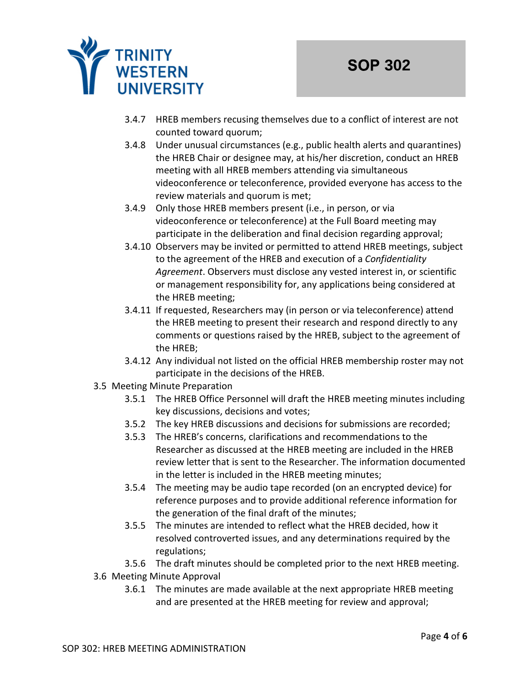

- 3.4.7 HREB members recusing themselves due to a conflict of interest are not counted toward quorum;
- 3.4.8 Under unusual circumstances (e.g., public health alerts and quarantines) the HREB Chair or designee may, at his/her discretion, conduct an HREB meeting with all HREB members attending via simultaneous videoconference or teleconference, provided everyone has access to the review materials and quorum is met;
- 3.4.9 Only those HREB members present (i.e., in person, or via videoconference or teleconference) at the Full Board meeting may participate in the deliberation and final decision regarding approval;
- 3.4.10 Observers may be invited or permitted to attend HREB meetings, subject to the agreement of the HREB and execution of a *Confidentiality Agreement*. Observers must disclose any vested interest in, or scientific or management responsibility for, any applications being considered at the HREB meeting;
- 3.4.11 If requested, Researchers may (in person or via teleconference) attend the HREB meeting to present their research and respond directly to any comments or questions raised by the HREB, subject to the agreement of the HREB;
- 3.4.12 Any individual not listed on the official HREB membership roster may not participate in the decisions of the HREB.
- 3.5 Meeting Minute Preparation
	- 3.5.1 The HREB Office Personnel will draft the HREB meeting minutes including key discussions, decisions and votes;
	- 3.5.2 The key HREB discussions and decisions for submissions are recorded;
	- 3.5.3 The HREB's concerns, clarifications and recommendations to the Researcher as discussed at the HREB meeting are included in the HREB review letter that is sent to the Researcher. The information documented in the letter is included in the HREB meeting minutes;
	- 3.5.4 The meeting may be audio tape recorded (on an encrypted device) for reference purposes and to provide additional reference information for the generation of the final draft of the minutes;
	- 3.5.5 The minutes are intended to reflect what the HREB decided, how it resolved controverted issues, and any determinations required by the regulations;
	- 3.5.6 The draft minutes should be completed prior to the next HREB meeting.
- 3.6 Meeting Minute Approval
	- 3.6.1 The minutes are made available at the next appropriate HREB meeting and are presented at the HREB meeting for review and approval;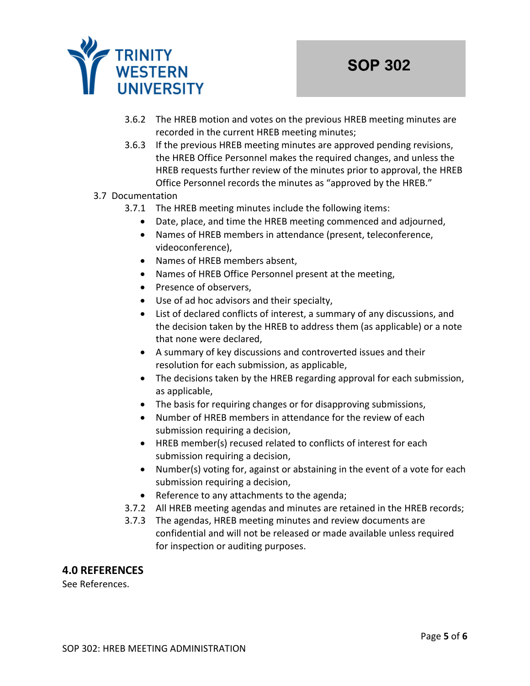

- 3.6.2 The HREB motion and votes on the previous HREB meeting minutes are recorded in the current HREB meeting minutes;
- 3.6.3 If the previous HREB meeting minutes are approved pending revisions, the HREB Office Personnel makes the required changes, and unless the HREB requests further review of the minutes prior to approval, the HREB Office Personnel records the minutes as "approved by the HREB."

### 3.7 Documentation

- 3.7.1 The HREB meeting minutes include the following items:
	- Date, place, and time the HREB meeting commenced and adjourned,
	- Names of HREB members in attendance (present, teleconference, videoconference),
	- Names of HREB members absent,
	- Names of HREB Office Personnel present at the meeting,
	- Presence of observers,
	- Use of ad hoc advisors and their specialty,
	- List of declared conflicts of interest, a summary of any discussions, and the decision taken by the HREB to address them (as applicable) or a note that none were declared,
	- A summary of key discussions and controverted issues and their resolution for each submission, as applicable,
	- The decisions taken by the HREB regarding approval for each submission, as applicable,
	- The basis for requiring changes or for disapproving submissions,
	- Number of HREB members in attendance for the review of each submission requiring a decision,
	- HREB member(s) recused related to conflicts of interest for each submission requiring a decision,
	- Number(s) voting for, against or abstaining in the event of a vote for each submission requiring a decision,
	- Reference to any attachments to the agenda;
- 3.7.2 All HREB meeting agendas and minutes are retained in the HREB records;
- 3.7.3 The agendas, HREB meeting minutes and review documents are confidential and will not be released or made available unless required for inspection or auditing purposes.

#### **4.0 REFERENCES**

See References.